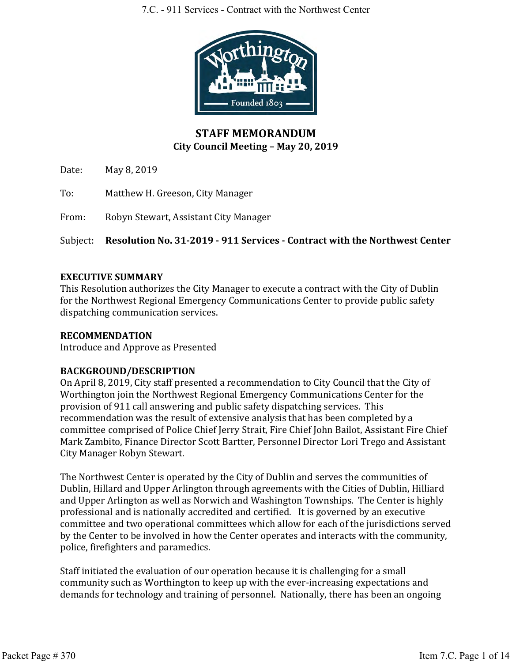

# **STAFF MEMORANDUM City Council Meeting – May 20, 2019**

Date: May 8, 2019

To: Matthew H. Greeson, City Manager

From: Robyn Stewart, Assistant City Manager

Subject: **Resolution No. 31-2019 - 911 Services - Contract with the Northwest Center**

## **EXECUTIVE SUMMARY**

This Resolution authorizes the City Manager to execute a contract with the City of Dublin for the Northwest Regional Emergency Communications Center to provide public safety dispatching communication services.

#### **RECOMMENDATION**

Introduce and Approve as Presented

## **BACKGROUND/DESCRIPTION**

On April 8, 2019, City staff presented a recommendation to City Council that the City of Worthington join the Northwest Regional Emergency Communications Center for the provision of 911 call answering and public safety dispatching services. This recommendation was the result of extensive analysis that has been completed by a committee comprised of Police Chief Jerry Strait, Fire Chief John Bailot, Assistant Fire Chief Mark Zambito, Finance Director Scott Bartter, Personnel Director Lori Trego and Assistant City Manager Robyn Stewart.

The Northwest Center is operated by the City of Dublin and serves the communities of Dublin, Hillard and Upper Arlington through agreements with the Cities of Dublin, Hilliard and Upper Arlington as well as Norwich and Washington Townships. The Center is highly professional and is nationally accredited and certified. It is governed by an executive committee and two operational committees which allow for each of the jurisdictions served by the Center to be involved in how the Center operates and interacts with the community, police, firefighters and paramedics.

Staff initiated the evaluation of our operation because it is challenging for a small community such as Worthington to keep up with the ever-increasing expectations and demands for technology and training of personnel. Nationally, there has been an ongoing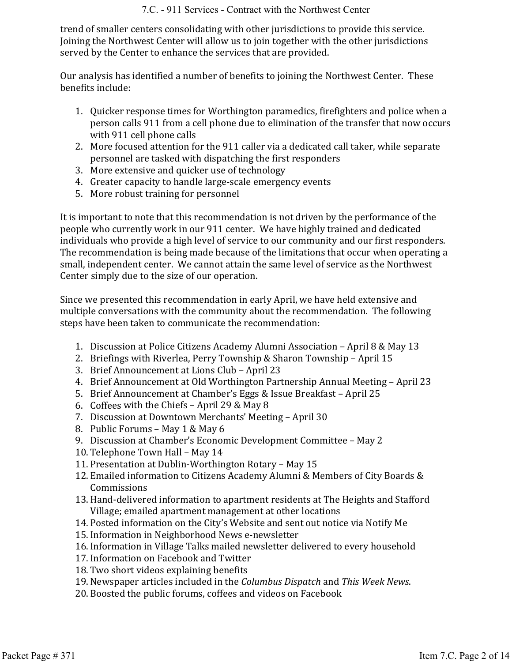trend of smaller centers consolidating with other jurisdictions to provide this service. Joining the Northwest Center will allow us to join together with the other jurisdictions served by the Center to enhance the services that are provided.

Our analysis has identified a number of benefits to joining the Northwest Center. These benefits include:

- 1. Quicker response times for Worthington paramedics, firefighters and police when a person calls 911 from a cell phone due to elimination of the transfer that now occurs with 911 cell phone calls
- 2. More focused attention for the 911 caller via a dedicated call taker, while separate personnel are tasked with dispatching the first responders
- 3. More extensive and quicker use of technology
- 4. Greater capacity to handle large-scale emergency events
- 5. More robust training for personnel

It is important to note that this recommendation is not driven by the performance of the people who currently work in our 911 center. We have highly trained and dedicated individuals who provide a high level of service to our community and our first responders. The recommendation is being made because of the limitations that occur when operating a small, independent center. We cannot attain the same level of service as the Northwest Center simply due to the size of our operation.

Since we presented this recommendation in early April, we have held extensive and multiple conversations with the community about the recommendation. The following steps have been taken to communicate the recommendation:

- 1. Discussion at Police Citizens Academy Alumni Association April 8 & May 13
- 2. Briefings with Riverlea, Perry Township & Sharon Township April 15
- 3. Brief Announcement at Lions Club April 23
- 4. Brief Announcement at Old Worthington Partnership Annual Meeting April 23
- 5. Brief Announcement at Chamber's Eggs & Issue Breakfast April 25
- 6. Coffees with the Chiefs April 29 & May 8
- 7. Discussion at Downtown Merchants' Meeting April 30
- 8. Public Forums May 1 & May 6
- 9. Discussion at Chamber's Economic Development Committee May 2
- 10. Telephone Town Hall May 14
- 11. Presentation at Dublin-Worthington Rotary May 15
- 12. Emailed information to Citizens Academy Alumni & Members of City Boards & Commissions
- 13. Hand-delivered information to apartment residents at The Heights and Stafford Village; emailed apartment management at other locations
- 14. Posted information on the City's Website and sent out notice via Notify Me
- 15. Information in Neighborhood News e-newsletter
- 16. Information in Village Talks mailed newsletter delivered to every household
- 17. Information on Facebook and Twitter
- 18. Two short videos explaining benefits
- 19. Newspaper articles included in the *Columbus Dispatch* and *This Week News*.
- 20. Boosted the public forums, coffees and videos on Facebook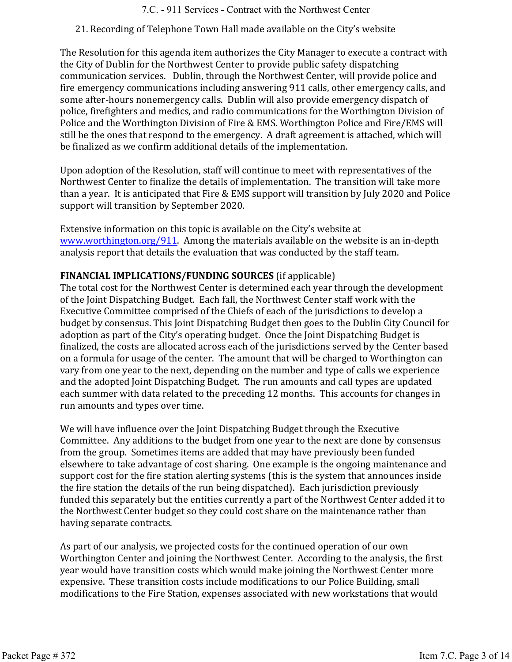## 21. Recording of Telephone Town Hall made available on the City's website

The Resolution for this agenda item authorizes the City Manager to execute a contract with the City of Dublin for the Northwest Center to provide public safety dispatching communication services. Dublin, through the Northwest Center, will provide police and fire emergency communications including answering 911 calls, other emergency calls, and some after-hours nonemergency calls. Dublin will also provide emergency dispatch of police, firefighters and medics, and radio communications for the Worthington Division of Police and the Worthington Division of Fire & EMS. Worthington Police and Fire/EMS will still be the ones that respond to the emergency. A draft agreement is attached, which will be finalized as we confirm additional details of the implementation.

Upon adoption of the Resolution, staff will continue to meet with representatives of the Northwest Center to finalize the details of implementation. The transition will take more than a year. It is anticipated that Fire & EMS support will transition by July 2020 and Police support will transition by September 2020.

Extensive information on this topic is available on the City's website at www.worthington.org/911. Among the materials available on the website is an in-depth analysis report that details the evaluation that was conducted by the staff team.

## **FINANCIAL IMPLICATIONS/FUNDING SOURCES** (if applicable)

The total cost for the Northwest Center is determined each year through the development of the Joint Dispatching Budget. Each fall, the Northwest Center staff work with the Executive Committee comprised of the Chiefs of each of the jurisdictions to develop a budget by consensus. This Joint Dispatching Budget then goes to the Dublin City Council for adoption as part of the City's operating budget. Once the Joint Dispatching Budget is finalized, the costs are allocated across each of the jurisdictions served by the Center based on a formula for usage of the center. The amount that will be charged to Worthington can vary from one year to the next, depending on the number and type of calls we experience and the adopted Joint Dispatching Budget. The run amounts and call types are updated each summer with data related to the preceding 12 months. This accounts for changes in run amounts and types over time.

We will have influence over the Joint Dispatching Budget through the Executive Committee. Any additions to the budget from one year to the next are done by consensus from the group. Sometimes items are added that may have previously been funded elsewhere to take advantage of cost sharing. One example is the ongoing maintenance and support cost for the fire station alerting systems (this is the system that announces inside the fire station the details of the run being dispatched). Each jurisdiction previously funded this separately but the entities currently a part of the Northwest Center added it to the Northwest Center budget so they could cost share on the maintenance rather than having separate contracts.

As part of our analysis, we projected costs for the continued operation of our own Worthington Center and joining the Northwest Center. According to the analysis, the first year would have transition costs which would make joining the Northwest Center more expensive. These transition costs include modifications to our Police Building, small modifications to the Fire Station, expenses associated with new workstations that would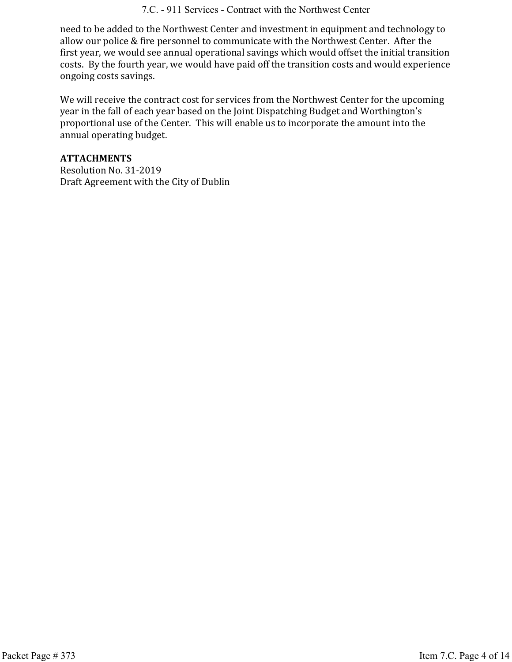#### 7.C. - 911 Services - Contract with the Northwest Center

need to be added to the Northwest Center and investment in equipment and technology to allow our police & fire personnel to communicate with the Northwest Center. After the first year, we would see annual operational savings which would offset the initial transition costs. By the fourth year, we would have paid off the transition costs and would experience ongoing costs savings.

We will receive the contract cost for services from the Northwest Center for the upcoming year in the fall of each year based on the Joint Dispatching Budget and Worthington's proportional use of the Center. This will enable us to incorporate the amount into the annual operating budget.

#### **ATTACHMENTS**

Resolution No. 31-2019 Draft Agreement with the City of Dublin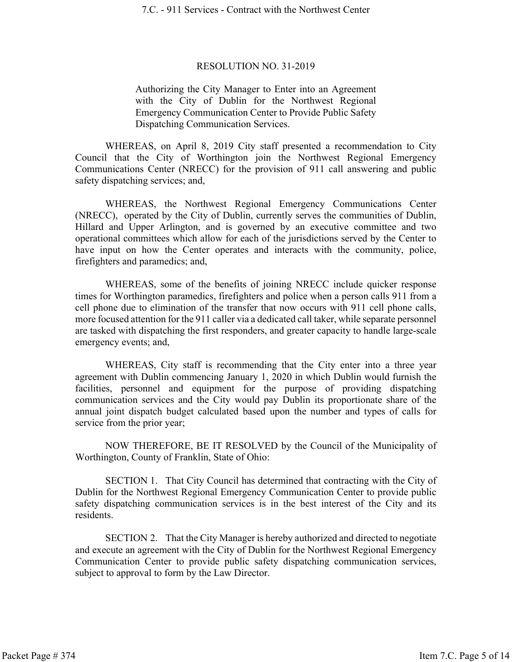#### RESOLUTION NO. 31-2019

Authorizing the City Manager to Enter into an Agreement with the City of Dublin for the Northwest Regional Emergency Communication Center to Provide Public Safety Dispatching Communication Services.

WHEREAS, on April 8, 2019 City staff presented a recommendation to City Council that the City of Worthington join the Northwest Regional Emergency Communications Center (NRECC) for the provision of 911 call answering and public safety dispatching services; and,

WHEREAS, the Northwest Regional Emergency Communications Center (NRECC), operated by the City of Dublin, currently serves the communities of Dublin, Hillard and Upper Arlington, and is governed by an executive committee and two operational committees which allow for each of the jurisdictions served by the Center to have input on how the Center operates and interacts with the community, police, firefighters and paramedics; and,

WHEREAS, some of the benefits of joining NRECC include quicker response times for Worthington paramedics, firefighters and police when a person calls 911 from a cell phone due to elimination of the transfer that now occurs with 911 cell phone calls, more focused attention for the 911 caller via a dedicated call taker, while separate personnel are tasked with dispatching the first responders, and greater capacity to handle large-scale emergency events; and,

WHEREAS, City staff is recommending that the City enter into a three year agreement with Dublin commencing January 1, 2020 in which Dublin would furnish the facilities, personnel and equipment for the purpose of providing dispatching communication services and the City would pay Dublin its proportionate share of the annual joint dispatch budget calculated based upon the number and types of calls for service from the prior year;

NOW THEREFORE, BE IT RESOLVED by the Council of the Municipality of Worthington, County of Franklin, State of Ohio:

SECTION 1. That City Council has determined that contracting with the City of Dublin for the Northwest Regional Emergency Communication Center to provide public safety dispatching communication services is in the best interest of the City and its residents.

SECTION 2. That the City Manager is hereby authorized and directed to negotiate and execute an agreement with the City of Dublin for the Northwest Regional Emergency Communication Center to provide public safety dispatching communication services, subject to approval to form by the Law Director.